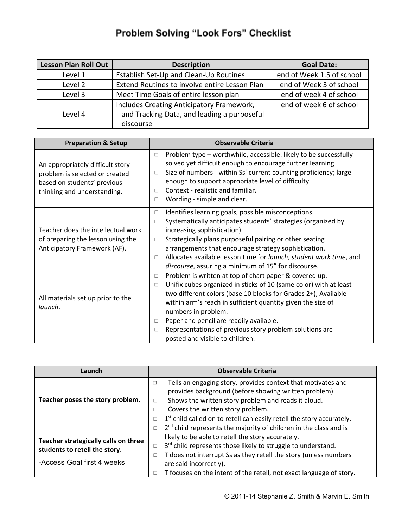## Problem Solving "Look Fors" Checklist

| <b>Lesson Plan Roll Out</b> | <b>Description</b>                                                                                    | <b>Goal Date:</b>         |
|-----------------------------|-------------------------------------------------------------------------------------------------------|---------------------------|
| Level 1                     | Establish Set-Up and Clean-Up Routines                                                                | end of Week 1.5 of school |
| Level 2                     | Extend Routines to involve entire Lesson Plan                                                         | end of Week 3 of school   |
| Level 3                     | Meet Time Goals of entire lesson plan                                                                 | end of week 4 of school   |
| Level 4                     | Includes Creating Anticipatory Framework,<br>and Tracking Data, and leading a purposeful<br>discourse | end of week 6 of school   |

| <b>Preparation &amp; Setup</b>                                                                                                   | <b>Observable Criteria</b>                                                                                                                                                                                                                                                                                                                                                                                                                                           |  |
|----------------------------------------------------------------------------------------------------------------------------------|----------------------------------------------------------------------------------------------------------------------------------------------------------------------------------------------------------------------------------------------------------------------------------------------------------------------------------------------------------------------------------------------------------------------------------------------------------------------|--|
| An appropriately difficult story<br>problem is selected or created<br>based on students' previous<br>thinking and understanding. | Problem type - worthwhile, accessible: likely to be successfully<br>$\Box$<br>solved yet difficult enough to encourage further learning<br>Size of numbers - within Ss' current counting proficiency; large<br>$\Box$<br>enough to support appropriate level of difficulty.<br>Context - realistic and familiar.<br>$\Box$<br>Wording - simple and clear.<br>$\Box$                                                                                                  |  |
| Teacher does the intellectual work<br>of preparing the lesson using the<br>Anticipatory Framework (AF).                          | Identifies learning goals, possible misconceptions.<br>$\Box$<br>Systematically anticipates students' strategies (organized by<br>$\Box$<br>increasing sophistication).<br>Strategically plans purposeful pairing or other seating<br>$\Box$<br>arrangements that encourage strategy sophistication.<br>Allocates available lesson time for launch, student work time, and<br>$\Box$<br>discourse, assuring a minimum of 15" for discourse.                          |  |
| All materials set up prior to the<br>launch.                                                                                     | Problem is written at top of chart paper & covered up.<br>$\Box$<br>Unifix cubes organized in sticks of 10 (same color) with at least<br>$\Box$<br>two different colors (base 10 blocks for Grades 2+); Available<br>within arm's reach in sufficient quantity given the size of<br>numbers in problem.<br>Paper and pencil are readily available.<br>$\Box$<br>Representations of previous story problem solutions are<br>$\Box$<br>posted and visible to children. |  |

| Launch                                                                | <b>Observable Criteria</b>                                                              |  |
|-----------------------------------------------------------------------|-----------------------------------------------------------------------------------------|--|
|                                                                       | Tells an engaging story, provides context that motivates and<br>□                       |  |
|                                                                       | provides background (before showing written problem)                                    |  |
| Teacher poses the story problem.                                      | Shows the written story problem and reads it aloud.<br>$\Box$                           |  |
|                                                                       | Covers the written story problem.<br>$\Box$                                             |  |
|                                                                       | $1st$ child called on to retell can easily retell the story accurately.<br>$\Box$       |  |
|                                                                       | 2 <sup>nd</sup> child represents the majority of children in the class and is<br>$\Box$ |  |
| Teacher strategically calls on three<br>students to retell the story. | likely to be able to retell the story accurately.                                       |  |
|                                                                       | 3rd child represents those likely to struggle to understand.<br>$\Box$                  |  |
|                                                                       | T does not interrupt Ss as they retell the story (unless numbers<br>$\Box$              |  |
| -Access Goal first 4 weeks                                            | are said incorrectly).                                                                  |  |
|                                                                       | T focuses on the intent of the retell, not exact language of story.                     |  |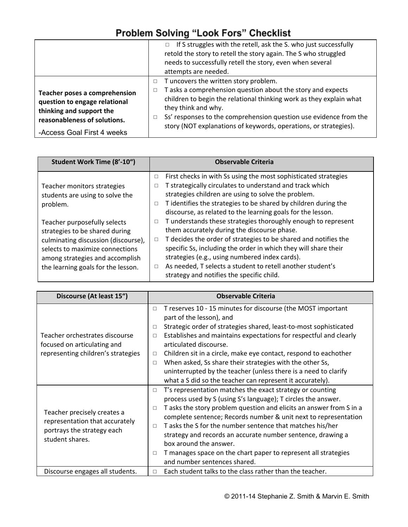## Problem Solving "Look Fors" Checklist

|                                                                                                                                                                 | If S struggles with the retell, ask the S. who just successfully<br>retold the story to retell the story again. The S who struggled<br>needs to successfully retell the story, even when several<br>attempts are needed.                                                                                                                                        |
|-----------------------------------------------------------------------------------------------------------------------------------------------------------------|-----------------------------------------------------------------------------------------------------------------------------------------------------------------------------------------------------------------------------------------------------------------------------------------------------------------------------------------------------------------|
| <b>Teacher poses a comprehension</b><br>question to engage relational<br>thinking and support the<br>reasonableness of solutions.<br>-Access Goal First 4 weeks | T uncovers the written story problem.<br>$\Box$<br>T asks a comprehension question about the story and expects<br>$\Box$<br>children to begin the relational thinking work as they explain what<br>they think and why.<br>Ss' responses to the comprehension question use evidence from the<br>story (NOT explanations of keywords, operations, or strategies). |

| Student Work Time (8'-10")                                                                                                                                                                                        | <b>Observable Criteria</b>                                                                                                                                                                                                                                                                                                                                                                                                                    |
|-------------------------------------------------------------------------------------------------------------------------------------------------------------------------------------------------------------------|-----------------------------------------------------------------------------------------------------------------------------------------------------------------------------------------------------------------------------------------------------------------------------------------------------------------------------------------------------------------------------------------------------------------------------------------------|
| Teacher monitors strategies<br>students are using to solve the<br>problem.                                                                                                                                        | First checks in with Ss using the most sophisticated strategies<br>$\Box$<br>T strategically circulates to understand and track which<br>□<br>strategies children are using to solve the problem.<br>T identifies the strategies to be shared by children during the<br>$\Box$<br>discourse, as related to the learning goals for the lesson.                                                                                                 |
| Teacher purposefully selects<br>strategies to be shared during<br>culminating discussion (discourse),<br>selects to maximize connections<br>among strategies and accomplish<br>the learning goals for the lesson. | T understands these strategies thoroughly enough to represent<br>$\Box$<br>them accurately during the discourse phase.<br>T decides the order of strategies to be shared and notifies the<br>$\Box$<br>specific Ss, including the order in which they will share their<br>strategies (e.g., using numbered index cards).<br>As needed, T selects a student to retell another student's<br>$\Box$<br>strategy and notifies the specific child. |

| Discourse (At least 15")                                      | <b>Observable Criteria</b>                                                                            |  |
|---------------------------------------------------------------|-------------------------------------------------------------------------------------------------------|--|
|                                                               | T reserves 10 - 15 minutes for discourse (the MOST important<br>$\Box$                                |  |
|                                                               | part of the lesson), and                                                                              |  |
|                                                               | Strategic order of strategies shared, least-to-most sophisticated<br>$\Box$                           |  |
| Teacher orchestrates discourse<br>focused on articulating and | Establishes and maintains expectations for respectful and clearly<br>$\Box$<br>articulated discourse. |  |
|                                                               |                                                                                                       |  |
| representing children's strategies                            | Children sit in a circle, make eye contact, respond to eachother<br>$\Box$                            |  |
|                                                               | When asked, Ss share their strategies with the other Ss,<br>$\Box$                                    |  |
|                                                               | uninterrupted by the teacher (unless there is a need to clarify                                       |  |
|                                                               | what a S did so the teacher can represent it accurately).                                             |  |
|                                                               | T's representation matches the exact strategy or counting<br>$\Box$                                   |  |
|                                                               | process used by S (using S's language); T circles the answer.                                         |  |
|                                                               | T asks the story problem question and elicits an answer from S in a<br>$\Box$                         |  |
| Teacher precisely creates a                                   | complete sentence; Records number & unit next to representation                                       |  |
| representation that accurately                                | T asks the S for the number sentence that matches his/her<br>$\Box$                                   |  |
| portrays the strategy each<br>student shares.                 | strategy and records an accurate number sentence, drawing a                                           |  |
|                                                               | box around the answer.                                                                                |  |
|                                                               | T manages space on the chart paper to represent all strategies<br>$\Box$                              |  |
|                                                               | and number sentences shared.                                                                          |  |
| Discourse engages all students.                               | Each student talks to the class rather than the teacher.<br>$\Box$                                    |  |